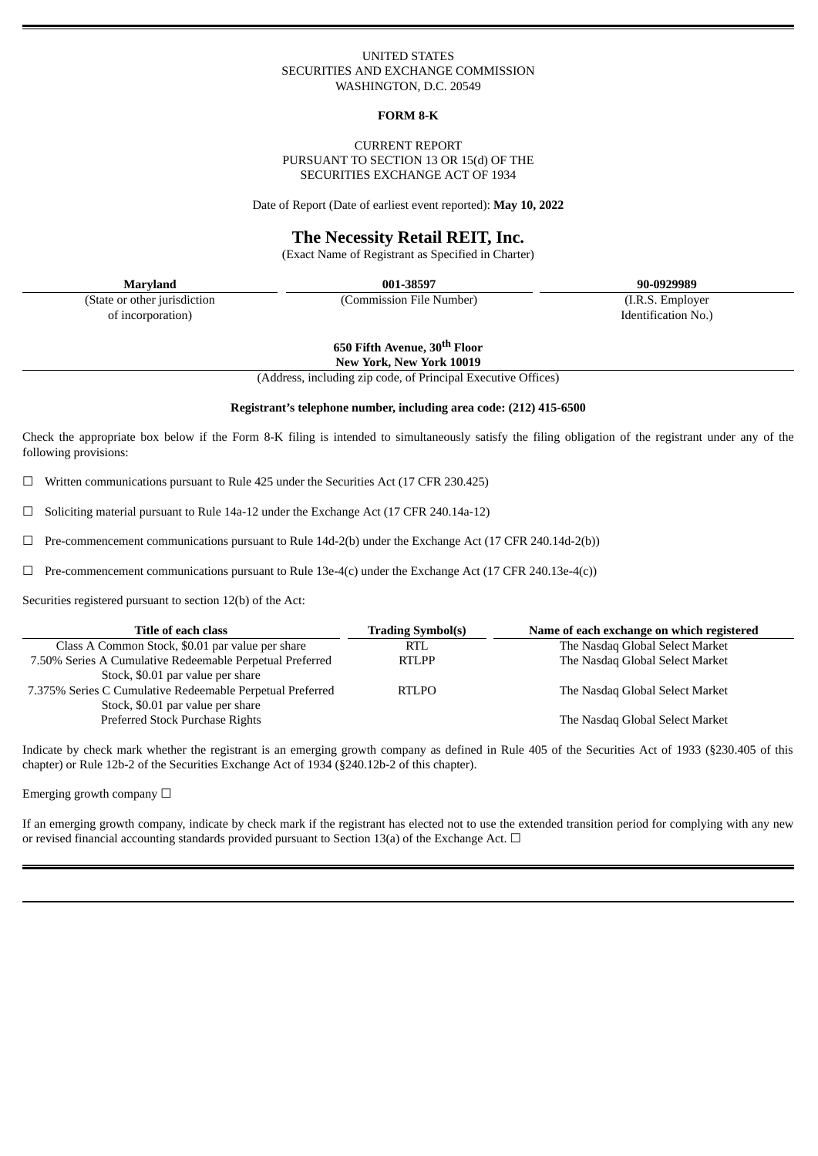### UNITED STATES SECURITIES AND EXCHANGE COMMISSION WASHINGTON, D.C. 20549

#### **FORM 8-K**

### CURRENT REPORT PURSUANT TO SECTION 13 OR 15(d) OF THE SECURITIES EXCHANGE ACT OF 1934

Date of Report (Date of earliest event reported): **May 10, 2022**

# **The Necessity Retail REIT, Inc.**

(Exact Name of Registrant as Specified in Charter)

(State or other jurisdiction of incorporation)

**Maryland 001-38597 90-0929989**

(Commission File Number) (I.R.S. Employer

**650 Fifth Avenue, 30 th Floor**

Identification No.)

**New York, New York 10019**

(Address, including zip code, of Principal Executive Offices)

### **Registrant's telephone number, including area code: (212) 415-6500**

Check the appropriate box below if the Form 8-K filing is intended to simultaneously satisfy the filing obligation of the registrant under any of the following provisions:

 $\Box$  Written communications pursuant to Rule 425 under the Securities Act (17 CFR 230.425)

 $\Box$  Soliciting material pursuant to Rule 14a-12 under the Exchange Act (17 CFR 240.14a-12)

☐ Pre-commencement communications pursuant to Rule 14d-2(b) under the Exchange Act (17 CFR 240.14d-2(b))

 $\Box$  Pre-commencement communications pursuant to Rule 13e-4(c) under the Exchange Act (17 CFR 240.13e-4(c))

Securities registered pursuant to section 12(b) of the Act:

| Title of each class                                       | <b>Trading Symbol(s)</b> | Name of each exchange on which registered |
|-----------------------------------------------------------|--------------------------|-------------------------------------------|
| Class A Common Stock, \$0.01 par value per share          | <b>RTL</b>               | The Nasdaq Global Select Market           |
| 7.50% Series A Cumulative Redeemable Perpetual Preferred  | <b>RTLPP</b>             | The Nasdaq Global Select Market           |
| Stock, \$0.01 par value per share                         |                          |                                           |
| 7.375% Series C Cumulative Redeemable Perpetual Preferred | <b>RTLPO</b>             | The Nasdaq Global Select Market           |
| Stock, \$0.01 par value per share                         |                          |                                           |
| Preferred Stock Purchase Rights                           |                          | The Nasdaq Global Select Market           |

Indicate by check mark whether the registrant is an emerging growth company as defined in Rule 405 of the Securities Act of 1933 (§230.405 of this chapter) or Rule 12b-2 of the Securities Exchange Act of 1934 (§240.12b-2 of this chapter).

Emerging growth company  $\Box$ 

If an emerging growth company, indicate by check mark if the registrant has elected not to use the extended transition period for complying with any new or revised financial accounting standards provided pursuant to Section 13(a) of the Exchange Act.  $\Box$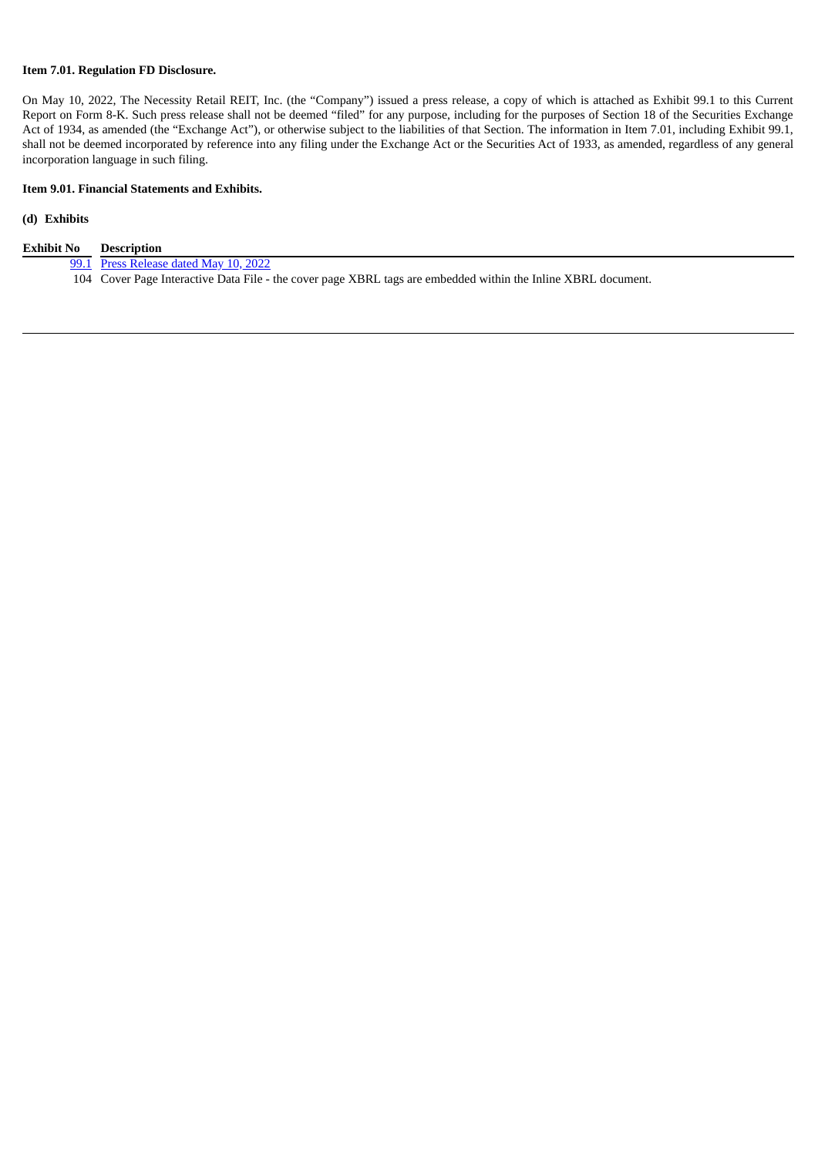## **Item 7.01. Regulation FD Disclosure.**

On May 10, 2022, The Necessity Retail REIT, Inc. (the "Company") issued a press release, a copy of which is attached as Exhibit 99.1 to this Current Report on Form 8-K. Such press release shall not be deemed "filed" for any purpose, including for the purposes of Section 18 of the Securities Exchange Act of 1934, as amended (the "Exchange Act"), or otherwise subject to the liabilities of that Section. The information in Item 7.01, including Exhibit 99.1, shall not be deemed incorporated by reference into any filing under the Exchange Act or the Securities Act of 1933, as amended, regardless of any general incorporation language in such filing.

## **Item 9.01. Financial Statements and Exhibits.**

### **(d) Exhibits**

| Exhibit No | Description                                                                                                   |
|------------|---------------------------------------------------------------------------------------------------------------|
|            | 99.1 Press Release dated May 10, 2022                                                                         |
|            | 104 Cover Page Interactive Data File - the cover page XBRL tags are embedded within the Inline XBRL document. |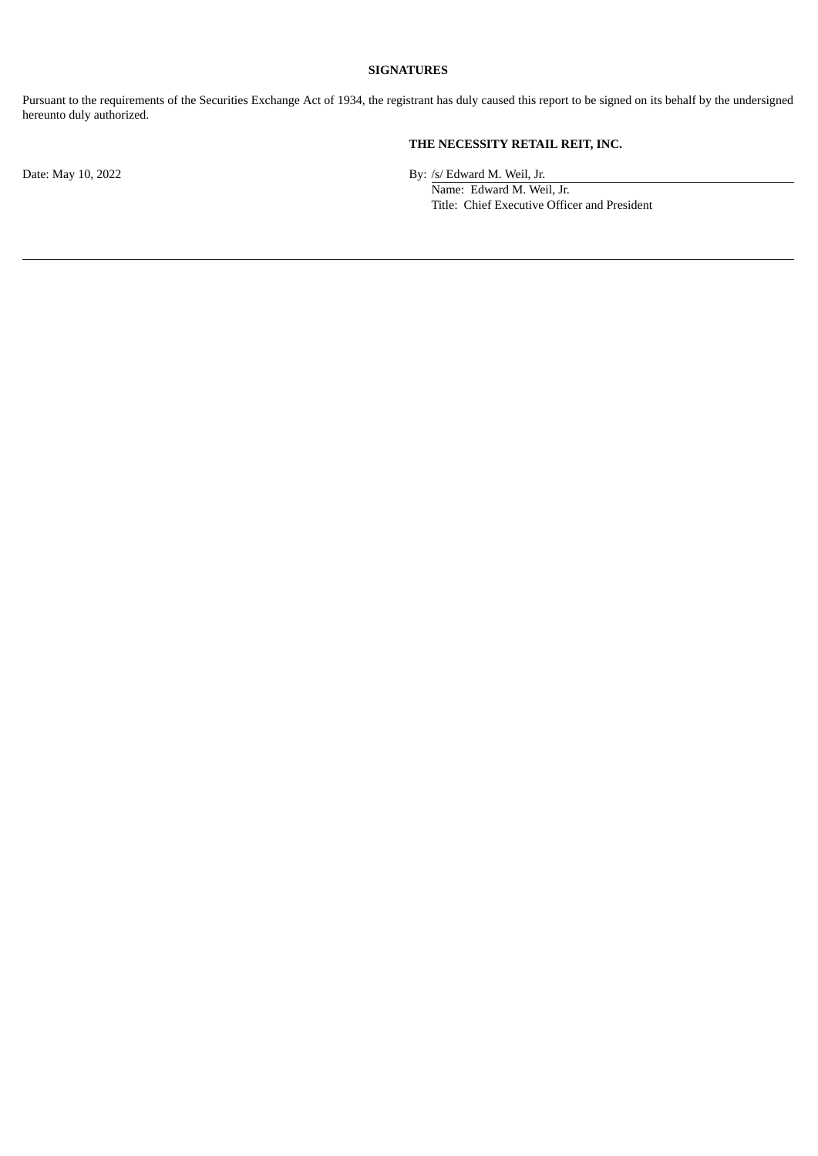## **SIGNATURES**

Pursuant to the requirements of the Securities Exchange Act of 1934, the registrant has duly caused this report to be signed on its behalf by the undersigned hereunto duly authorized.

# **THE NECESSITY RETAIL REIT, INC.**

Date: May 10, 2022 By: /s/ Edward M. Weil, Jr.

Name: Edward M. Weil, Jr. Title: Chief Executive Officer and President